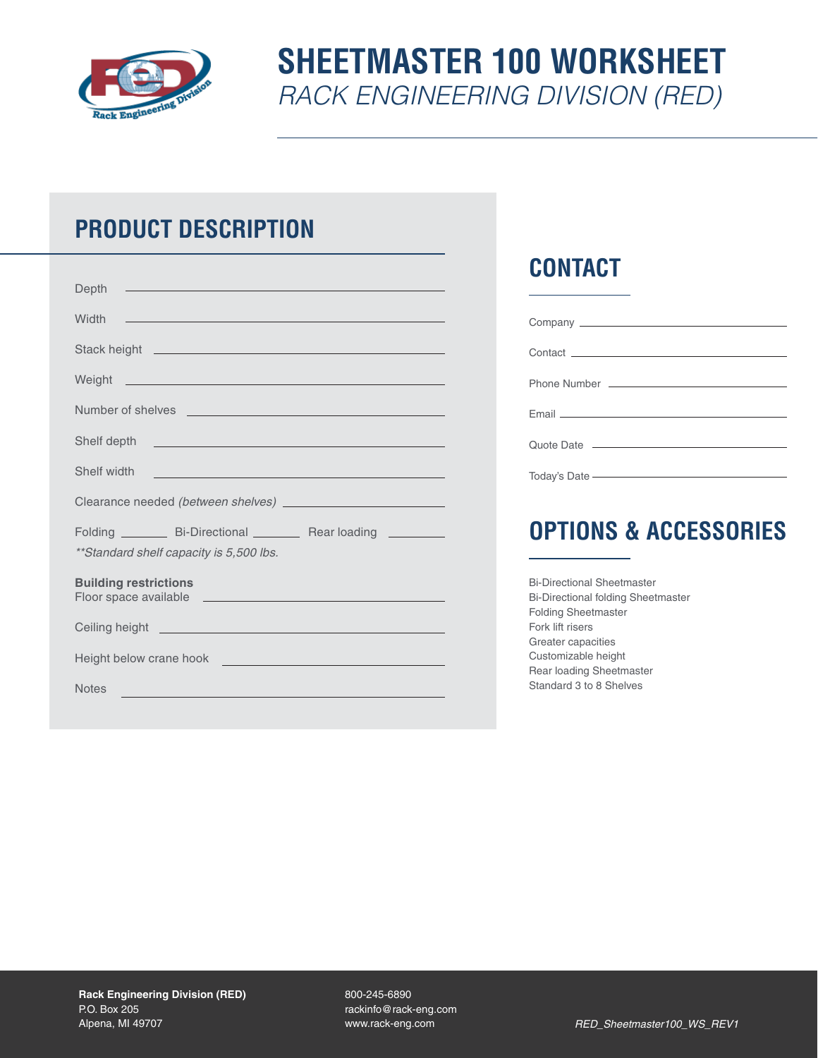

# **SHEETMASTER 100 WORKSHEET** *RACK ENGINEERING DIVISION (RED)*

## **PRODUCT DESCRIPTION**

| <u> 1989 - Johann Stein, marwolaethau a bhann an t-Amhainn an t-Amhainn an t-Amhainn an t-Amhainn an t-Amhainn an</u><br>Depth                                                                                                       |
|--------------------------------------------------------------------------------------------------------------------------------------------------------------------------------------------------------------------------------------|
| Width<br><u>ja saan ka samaan samaan samaan samaan samaan samaan samaan samaan samaan samaan samaan samaan samaan samaan s</u>                                                                                                       |
|                                                                                                                                                                                                                                      |
| Weight <b>Commission</b> Weight <b>Commission Commission Commission</b>                                                                                                                                                              |
| Number of shelves <b>with a strategie of shelves</b>                                                                                                                                                                                 |
|                                                                                                                                                                                                                                      |
| Shelf width<br><u> 1989 - Andrea Stadt, fransk politiker (d. 1989)</u>                                                                                                                                                               |
|                                                                                                                                                                                                                                      |
| Folding _________ Bi-Directional _________ Rear loading _________<br>**Standard shelf capacity is 5,500 lbs.                                                                                                                         |
| <b>Building restrictions</b>                                                                                                                                                                                                         |
| Ceiling height <b>contract to the contract of the contract of the contract of the contract of the contract of the contract of the contract of the contract of the contract of the contract of the contract of the contract of th</b> |
| Height below crane hook <b>with a set of the set of the set of the set of the set of the set of the set of the set of the set of the set of the set of the set of the set of the set of the set of the set of the set of the set</b> |
| <b>Notes</b><br><u> 1980 - Johann Stoff, amerikansk politiker (d. 1980)</u>                                                                                                                                                          |

## **CONTACT**

| Quote Date <u>____________________________</u>                                                                                                                                                                                |  |
|-------------------------------------------------------------------------------------------------------------------------------------------------------------------------------------------------------------------------------|--|
|                                                                                                                                                                                                                               |  |
| Today's Date - The Content of the Content of the Content of the Content of the Content of the Content of the Content of the Content of the Content of the Content of the Content of the Content of the Content of the Content |  |

## **OPTIONS & ACCESSORIES**

| <b>Bi-Directional Sheetmaster</b>         |
|-------------------------------------------|
| <b>Bi-Directional folding Sheetmaster</b> |
| <b>Folding Sheetmaster</b>                |
| Fork lift risers                          |
| Greater capacities                        |
| Customizable height                       |
| Rear loading Sheetmaster                  |
| Standard 3 to 8 Shelves                   |
|                                           |

800-245-6890 rackinfo@rack-eng.com www.rack-eng.com